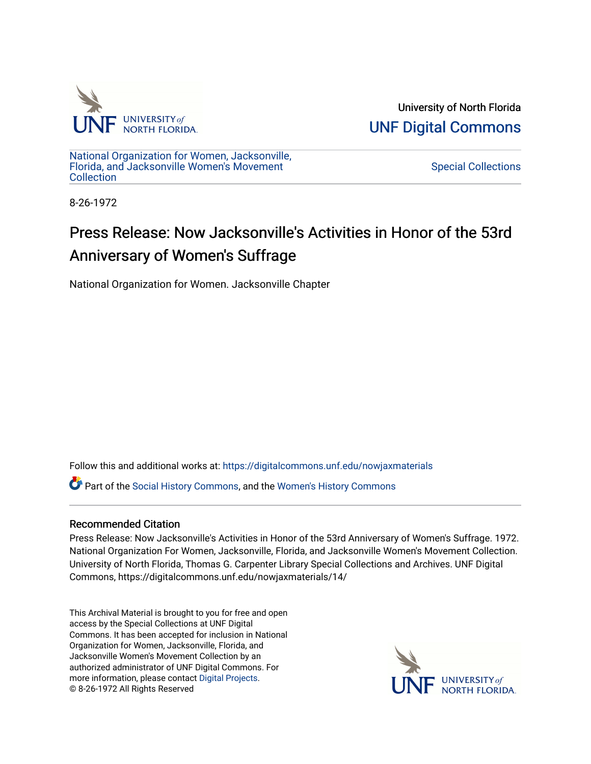

University of North Florida [UNF Digital Commons](https://digitalcommons.unf.edu/) 

[National Organization for Women, Jacksonville,](https://digitalcommons.unf.edu/nowjaxmaterials) [Florida, and Jacksonville Women's Movement](https://digitalcommons.unf.edu/nowjaxmaterials) **Collection** 

[Special Collections](https://digitalcommons.unf.edu/special_collections) 

8-26-1972

## Press Release: Now Jacksonville's Activities in Honor of the 53rd Anniversary of Women's Suffrage

National Organization for Women. Jacksonville Chapter

Follow this and additional works at: [https://digitalcommons.unf.edu/nowjaxmaterials](https://digitalcommons.unf.edu/nowjaxmaterials?utm_source=digitalcommons.unf.edu%2Fnowjaxmaterials%2F14&utm_medium=PDF&utm_campaign=PDFCoverPages) 

Part of the [Social History Commons](http://network.bepress.com/hgg/discipline/506?utm_source=digitalcommons.unf.edu%2Fnowjaxmaterials%2F14&utm_medium=PDF&utm_campaign=PDFCoverPages), and the [Women's History Commons](http://network.bepress.com/hgg/discipline/507?utm_source=digitalcommons.unf.edu%2Fnowjaxmaterials%2F14&utm_medium=PDF&utm_campaign=PDFCoverPages)

## Recommended Citation

Press Release: Now Jacksonville's Activities in Honor of the 53rd Anniversary of Women's Suffrage. 1972. National Organization For Women, Jacksonville, Florida, and Jacksonville Women's Movement Collection. University of North Florida, Thomas G. Carpenter Library Special Collections and Archives. UNF Digital Commons, https://digitalcommons.unf.edu/nowjaxmaterials/14/

This Archival Material is brought to you for free and open access by the Special Collections at UNF Digital Commons. It has been accepted for inclusion in National Organization for Women, Jacksonville, Florida, and Jacksonville Women's Movement Collection by an authorized administrator of UNF Digital Commons. For more information, please contact [Digital Projects](mailto:lib-digital@unf.edu). © 8-26-1972 All Rights Reserved

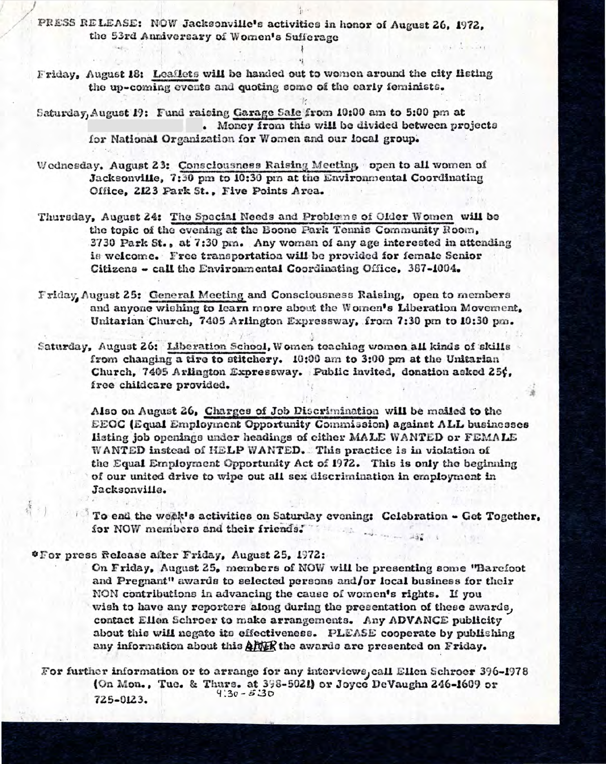PRESS RELEASE: NOW Jacksonville's activities in honor of August 26, 1972. the 53rd Anniversary of Women's Sufferage

.

Friday, August 18: Leaflets will be handed out to women around the city listing the up-coming events and quoting some of the early feminists.

Saturday, August 19: Fund raising Garage Sale from 10:00 am to 5:00 pm at . Money from this will be divided between projects for National Organization for Women and our local group.

Wednesday. August 23: Consciousness Raising Meeting open to all women of Jacksonville, 7:30 pm to 10:30 pm at the Environmental Coordinating Office, 2123 Park St., Five Points Area.

Thursday, August 24: The Special Needs and Problems of Older Women will be the topic of the evening at the Boone Park Tennis Community Room, <sup>3730</sup> Park St., at 7:30 pm. Any woman of any age interested in attending is welcom e. F ree trans portation will be provided **for** female Senior Citizens - call the Environmental Coordinating Office. 387-1004.

Friday, August 25: General Meeting and Consciousness Raising, open to members and anyone wishing to learn more about the Women's Liberation Movement, Unitarian Church, 7405 Arlington Expressway, from 7:30 pm to 10:30 pm.

Saturday, August 26: Liberation School, Women teaching women all kinds of skills from changing a tire to stitchery. 10:00 am to 3:00 pm at the Unitarian Church, 7405 Arlington Expressway. Public invited, donation asked 25 $\zeta$ , free childcare provided.

> Also on August 26, Charges of Job Discriminationwill be mailed to the EEOC (Equal Employment Opportunity Commission) against ALL businesses listting job openings under headings of either MA LE WANTED **01·** FEMALE WANTED instead of HELP WANTED. This practice is in violation of the Equal Employment Opportunity Act of 1972. This is only the beginning of our united drive to wipe out a11 sex discrimination in employment in Jacksonville.

1 To end the week's activities on Saturdayevening: Celebration - Get Together, **for NOW** members and **their friends.**   $-157.1$ 

\* F or press Release after Friday, August 25, 1972:

I

On Friday, August 25, members of NOW will be presenting some "Barefoot and Pregnant" awards to selected persons and/or local business for their NON contributions in advancing the cause of wom en's rights. If you wish to have any reporters along during the presentation of these awards, contact Ellen Schroer to make arrangements. Any ADVANCE publicity about this will negate its effectiveness. PLEASE cooperate by publishing any information about this  $\frac{\Delta FWR}{\Delta FMR}$  the awards are presented on Friday.

For further information or to arrange for any interviews, call Ellen Schroer 396-1978 (On Mon., Tue. & Thurs. at 398-5021) or Joyce DeVaughn 246-1609 or<br> $9.30 - 5.30$ 725-0123.